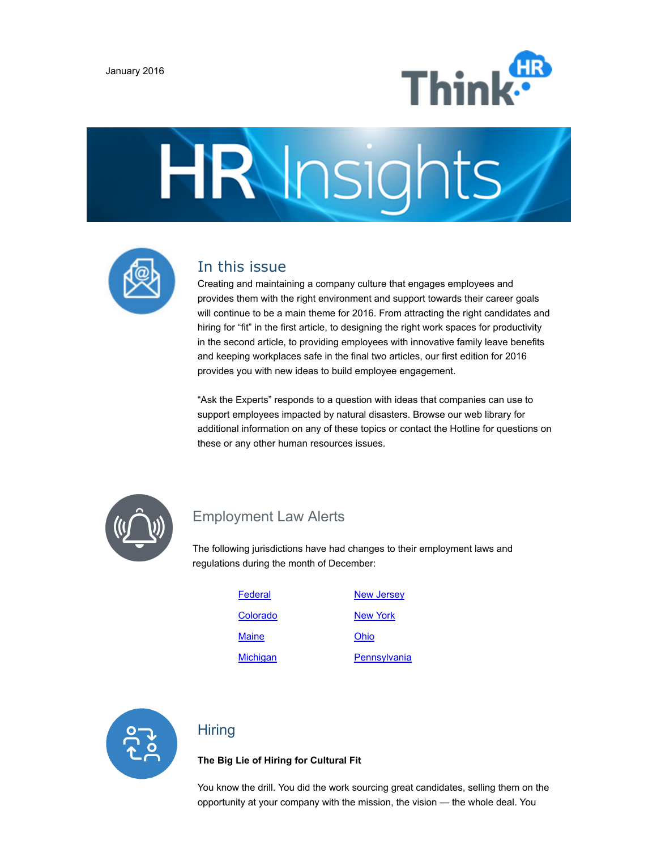





## In this issue

Creating and maintaining a company culture that engages employees and provides them with the right environment and support towards their career goals will continue to be a main theme for 2016. From attracting the right candidates and hiring for "fit" in the first article, to designing the right work spaces for productivity in the second article, to providing employees with innovative family leave benefits and keeping workplaces safe in the final two articles, our first edition for 2016 provides you with new ideas to build employee engagement.

"Ask the Experts" responds to a question with ideas that companies can use to support employees impacted by natural disasters. Browse our web library for additional information on any of these topics or contact the Hotline for questions on these or any other human resources issues.



## Employment Law Alerts

The following jurisdictions have had changes to their employment laws and regulations during the month of December:

| Federal         | <b>New Jersey</b> |
|-----------------|-------------------|
| Colorado        | <b>New York</b>   |
| Maine           | Ohio              |
| <b>Michigan</b> | Pennsylvania      |



## Hiring

**The Big Lie of Hiring for Cultural Fit**

You know the drill. You did the work sourcing great candidates, selling them on the opportunity at your company with the mission, the vision — the whole deal. You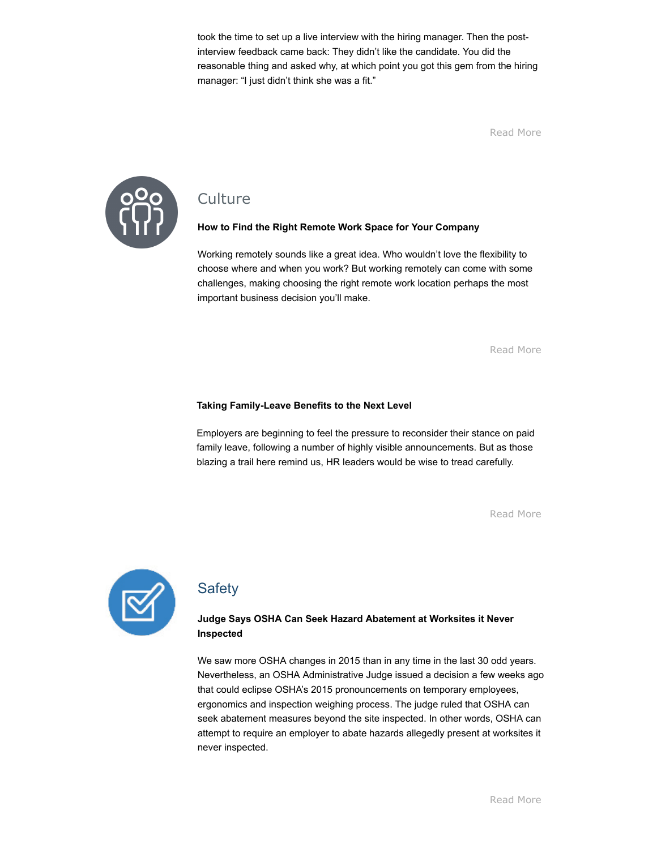took the time to set up a live interview with the hiring manager. Then the postinterview feedback came back: They didn't like the candidate. You did the reasonable thing and asked why, at which point you got this gem from the hiring manager: "I just didn't think she was a fit."

[Read](http://www.workforce.com/articles/21787-the-big-lie-of-hiring-for-cultural-fit) More



## **Culture**

#### **How to Find the Right Remote Work Space for Your Company**

Working remotely sounds like a great idea. Who wouldn't love the flexibility to choose where and when you work? But working remotely can come with some challenges, making choosing the right remote work location perhaps the most important business decision you'll make.

[Read](http://www.entrepreneur.com/article/254485) More

#### **Taking FamilyLeave Benefits to the Next Level**

Employers are beginning to feel the pressure to reconsider their stance on paid family leave, following a number of highly visible announcements. But as those blazing a trail here remind us, HR leaders would be wise to tread carefully.

[Read](http://www.hreonline.com/HRE/view/story.jhtml?id=534359696) More



## **Safety**

#### **Judge Says OSHA Can Seek Hazard Abatement at Worksites it Never Inspected**

We saw more OSHA changes in 2015 than in any time in the last 30 odd years. Nevertheless, an OSHA Administrative Judge issued a decision a few weeks ago that could eclipse OSHA's 2015 pronouncements on temporary employees, ergonomics and inspection weighing process. The judge ruled that OSHA can seek abatement measures beyond the site inspected. In other words, OSHA can attempt to require an employer to abate hazards allegedly present at worksites it never inspected.